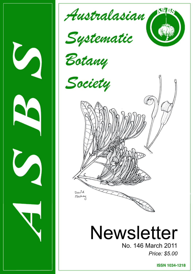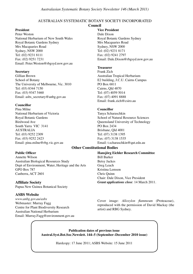#### AUSTRALIAN SYSTEMATIC BOTANY SOCIETY INCORPORATED

#### **Council**

#### **President**

Peter Weston National Herbarium of New South Wales Royal Botanic Gardens Sydney Mrs Macquaries Road Sydney, NSW 2000 Tel: (02) 9231 8111 Fax: (02) 9251 7231 Email: Peter.Weston@rbgsyd.nsw.gov.au

#### **Secretary**

Gillian Brown School of Botany The University of Melbourne, Vic. 3010 Tel: (03) 8344 7150 Fax: (03) 9347 5460 Email: asbs\_secretary@anbg.gov.au

#### **Councillor**

Pina Milne National Herbarium of Victoria Royal Botanic Gardens Birdwood Ave South Yarra VIC 3141 AUSTRALIA Tel: (03) 9252 2309 Fax: (03) 9252 2423 Email: pina.milne@rbg.vic.gov.au

#### **Public Officer**

Annette Wilson Australian Biological Resources Study Dept of Environment, Water, Heritage and the Arts GPO Box 787 Canberra, ACT 2601

**Affiliate Society** Papua New Guinea Botanical Society

#### **ASBS Website**

*www.anbg.gov.au/asbs* Webmaster: Murray Fagg Centre for Plant Biodiversity Research Australian National Herbarium Email: Murray.Fagg@environment.gov.au

#### **Vice President**

Dale Dixon Royal Botanic Gardens Sydney Mrs Macquaries Road Sydney, NSW 2000 Tel: (02) 9231 8171 Fax: (02) 9241 2797 Email: Dale.Dixon@rbgsyd.nsw.gov.au

#### **Treasurer**

Frank Zich Australian Tropical Herbarium E2 building, J.C.U. Cairns Campus PO Box 6811 Cairns, Qld 4870 Tel: (07) 4059 5014 Fax: (07) 4091 8888 Email: frank.zich@csiro.au

#### **Councillor**

Tanya Scharaschkin School of Natural Resource Sciences Queensland University of Technology PO Box 2434 Brisbane, Qld 4001 Tel: (07) 3138 1395 Fax: (07) 3138 1535 Email: t.scharaschkin@qut.edu.au

#### **Other Constitutional Bodies**

**Hansjörg Eichler Research Committee** Bill Barker Betsy Jackes Greg Leach Kristina Lemson Chris Quinn Chair: Dale Dixon, Vice President *Grant applications close*: 14 March 2011.

Cover image: *Alloxylon flammeum* (Proteaceae), reproduced with the permission of David Mackay (the artist) and RBG Sydney.

#### **Publication dates of previous issue Austral.Syst.Bot.Soc.Newslett. 144–5 (September–December 2010 issue)**

Hardcopy: 17 June 2011; ASBS Website: 15 June 2011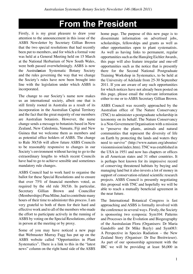# **From the President**

Firstly, it is my great pleasure to draw your attention to the announcement in this issue of the ASBS Newsletter by Secretary Gillian Brown that the two special resolutions that had recently been put to members, and for which a formal vote was held at a General Meeting held on 15 March at the National Herbarium of New South Wales, were both passed overwhelmingly. ASBS is now the Austral**as**ian Systematic Botany Society and the rules governing the way that we change the Society's rules have now been brought into line with the legislation under which ASBS is incorporated.

The change to our Society's name now makes us an international society, albeit one that is still firmly rooted in Australia as a result of its incorporation in the Australian Capital Territory and the fact that the great majority of our members are Australian botanists. However, the name change sends a message to botanists based in New Zealand, New Caledonia, Vanuatu, Fiji and New Guinea that we welcome them as members and as potential office holders of ASBS. The change to Rule 30(5)b will allow future ASBS Councils to be reasonably responsive to changes in our Society's environment without having to go to the extraordinary lengths to which recent Councils have had to go to achieve sensible and sometimes mandatory rule changes.

ASBS Council had to work hard to organise the ballot for these Special Resolutions and to ensure that over 75% of financial members voted, as required by the old rule 30(5)b. In particular, Secretary Gillian Brown and Councillor (Memberships) Pina Milne, had to contribute many hours of their time to administer this process. I am very grateful to both of them for their hard and effective work and to all of the members who made the effort to participate actively in the running of ASBS by voting on the Special Resolutions, either in person at the meeting or by proxy.

Some of you may have noticed a new page that Webmaster Murray Fagg has put up on the ASBS website called "Opportunities in Plant Systematics". There is a link to this in the "latest news" column on the right hand side of the ASBS home page. The purpose of this new page is to disseminate information on advertised jobs, scholarships, fellowships and grants as well as other opportunities open to plant systematists. As well as having links to permanent, regular opportunities such as the Hansjörg Eichler Awards, this page will also feature irregular and one-off opportunities such as the notice that is presently there for the Second National Postgraduate Training Workshop in Systematics, to be held at the University of Adelaide from 25-30 September 2011. If you are aware of any such opportunities for which notices have not already been posted on this page, please email the relevant information either to me or to ASBS Secretary Gillian Brown.

ASBS Council was recently approached by the Australian office of The Nature Conservancy (TNC) to administer a postgraduate scholarship in taxonomy on its behalf. The Nature Conservancy is a Non-Government Organisation with a mission to "preserve the plants, animals and natural communities that represent the diversity of life on Earth by protecting the lands and waters they need to survive" (http://www.nature.org/aboutus/ visionmission/index.htm). TNC was established in the USA in 1951 and now has chapters or offices in all American states and 31 other countries. It is perhaps best known for its impressive record of conserving threatened habitats by buying and managing land but it also invests a lot of money in support of conservation-related scientific research projects. ASBS Council is presently negotiating this proposal with TNC and hopefully we will be able to reach a mutually beneficial agreement in the near future.

The International Botanical Congress is fast approaching and ASBS is formally involved with the conference in several ways. Firstly, the Society is sponsoring two symposia: Sym104: Patterns and Processes in the Evolution and Biogeography of the Australasian Flora (Organisers: Dr Maria Gandolfo and Dr Mike Bayly) and Sym083: A Perspective in Species Radiation – the New Zealand Story (Organiser: Dr Ilse Breitwieser). As part of our sponsorship agreement with the IBC we will be providing at least \$6,000 in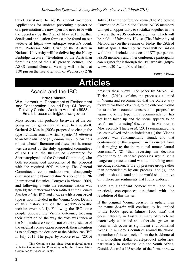travel assistance to ASBS student members. Applications for students presenting a poster or oral presentation are now open and need to be with the Secretary by the 31st of May 2011. Further details and application forms can be found on our website at http://www.anbg.gov.au/asbs/student. html. Professor Mike Crisp of the Australian National University will be delivering the Nancy Burbidge Lecture, "Evolution of the Australian flora", as one of the IBC plenary lectures. The ASBS Annual General Meeting will be held at 1.30 pm on the free afternoon of Wednesday 27th

July 2011 at the conference venue, The Melbourne Convention & Exhibition Centre. ASBS members will get an opportunity to socialize together in one place at the ASBS conference dinner, which will be held at University House (The University of Melbourne) on the evening of Friday the 29th of July at 7pm. A three course meal will be laid on with drinks included, at a cost of \$75 per person. ASBS members and other conference participants can register for it through the IBC website (http:// www.ibc2011.com/Social.htm).

*Peter Weston* 

# **Articles**

## Acacia and the IBC **Bruce Maslin** W.A. Herbarium, Department of Environment and Conservation, Locked Bag 104, Bentley Delivery Centre, Western Australia 6983.

Email: bruce.maslin@dec.wa.gov.au

Most readers will probably be aware of the ongoing *Acacia* generic name issue. In a nutshell, Orchard & Maslin (2003) proposed to change the type of *Acacia* from an African species (*A. nilotica*) to an Australian one (*A. penninervis*). Following a robust debate in literature and elsewhere the matter was assessed by the duly appointed committees of IAPT (i.e. the then-called Committee for Spermatophyta<sup>1</sup> and the General Committee) who both recommended acceptance of the proposal with the required 60% majority. The General Committee's recommendation was subsequently discussed at the Nomenclature Session of the 17th International Botanical Congress in Vienna, 2005, and following a vote the recommendation was upheld; the matter was then ratified at the Plenary Session of the IBC and *Acacia* with a conserved type is now included in the Vienna Code. Details of this history are on the WorldWideWattle website (web ref. 1). Following the IBC some people opposed the Vienna outcome, focusing their attention on the way the vote was taken at the Nomenclature Session, not on the substance of the original conservation proposal; their intention is to challenge the decision at the Melbourne IBC in July 2011. The paper by Moore *et al.* (2010)

presents these views. The paper by McNeill & Turland (2010) explains the processes adopted in Vienna and recommends that the correct way forward for those objecting to the outcome would be to make a counter conservation proposal to again move the type. This recommendation has not been taken up and the scene appears to be set for an 'interesting' discussion in Melbourne. Most recently Thiele *et al.* (2011) summarized the issues involved and concluded that (1) the "Vienna process was fundamentally sound, and that continuance of this argument in its current form is damaging to the international nomenclatural consensus", (2) "that reversing the decision except through standard processes would set a dangerous precedent and would, in the long term, encourage nomenclature by pressure group rather than nomenclature by due process" and (3) "the decision should stand and the world should move on". These are sentiments that I fully endorse.

There are significant nomenclatural, and thus practical, consequences associated with the resolution of this matter.

If the original Vienna decision is upheld then the name *Acacia* will continue to be applied to the 1000+ species (almost 1300 taxa) that occur naturally in Australia, many of which are extensively cultivated and otherwise grown, or occur which occur as significant environmental weeds, in numerous countries around the world. A number of these species form the backbone of a multi-billion dollar forest-product industries, particularly in southeast Asia and South Africa. Outside Australia 163 species of the former *Acacia*

<sup>1</sup> This Committee has since been replaced (along with the Committee for Pteridophyta) by the Nomenclature Committee for Vascular Plants.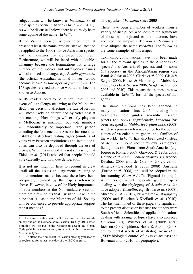subg. *Acacia* will be known as *Vachellia*; 83 of these species occur in Africa (Thiele *et al.* 2011). As will be discussed below, there has already been some uptake of the name *Vachellia*.

If the Vienna decision is overturned then, at present at least, the name *Racosperma* will need to be applied to the 1000+ native Australian species and the industries that are based upon them. Furthermore, we will be faced with a doublewhammy because the terminations for a large number of the species and infraspecies names will also need to change, e.g. *Acacia pycnantha*  (the official Australian national flower) would become known as *Racosperma pycnanthum*. The 163 species referred to above would then become known as *Acacia*.

ASBS readers need to be mindful that in the event of a challenge occurring at the Melbourne IBC, then decisions affecting the fate of *Acacia* will most likely be determined by votes cast at that meeting. How things will exactly play out at Melbourne is unknown<sup>2</sup> but vote numbers will undoubtedly be important. Each person attending the Nomenclature Session has one vote, institutions also have voting rights (numbers of votes vary between institutions) and institutional votes can also be deployed through the use of proxies. With this in mind it is not surprising that Thiele *et al.* (2011) advised that people "should vote carefully and with due deliberation."

It is not my intention here to recount in great detail all the issues and arguments relating to this contentious matter because these have been adequately covered by the papers referenced above. However, in view of the likely importance of vote numbers at the Nomenclature Session, there are a few points that I wish to make in the hope that at least some Members of this Society will be convinced to provide appropriate support at that meeting<sup>3</sup>.

#### **The uptake of** *Vachellia* **since 2005**

There have been a number of workers from a variety of disciplines who, despite the arguments of those who objected to the outcome, have accepted the umpire's decision at Vienna and have adopted the name *Vachellia*. The following are some examples of this usage.

Taxonomic combinations have now been made for all the relevant species in the Americas (52 species) and Australia (9 species), and for some (14 species) in the African/Asian region (see Banfi & Galasso 2008, Clarke *et al*. 2009, Glass & Seigler 2006, Hurter & Mabberley in Mabberley 2008, Kodela & Wilson 2006, Seigler & Ebinger 2005 and 2010). This means that names are now available in *Vachellia* for half the species of that genus.

The name *Vachellia* has been adopted in many publications since 2005, including flora treatments, field guides, scientific research papers and books. Significantly, *Vachellia* has been accepted in *Mabberley's plant-book* (2008) which is a primary reference source for the correct names of vascular plant genera and families of the world. *Vachellia* has also been used (instead of *Acacia*) in some recent reviews, catalogues, field guides and Floras from South America (e.g. Forero & Romero 2009, Garwood & Tebbs 2009, Hotche *et al*. 2008, Ojeda-Manjarrés & Carbonó-Delahoz 2009 and de Queiroz 2009), central America (Garwood & Tebbs 2009), Australia (Purdie *et al*. 2008), and will be adopted in the forthcoming *Flora d'Italia* (Pignatti in prep.). A number of recent molecular genetic papers dealing with the phylogeny of *Acacia sens. lat*. have adopted *Vachellia*, e.g. Brown *et al.* (2008), Murphy *et al.* (2010), Newmaster & Ragupathy (2009) and Bouchenak-Khelladi *et al.* (2010). The last-mentioned of these papers is significant to the present discussion because the authors were South African. Scientific and applied publications dealing with a range of topics have also accepted *Vachellia*, e.g. Willmer *et al.* (2009: ants), Jackson (2009: spiders), Navie & Adkins (2008: environmental weeds of Australia), Adair *et al.* (2009: biological control of invasive acacias) and Bowman *et al.* (2010: biogeography).

<sup>2</sup> I assume that this matter will first come on to the agenda on day one of the Nomenclature Session (18 July 2011) when a motion will be put to the Meeting to accept the Vienna Code (which contains an entry for *Acacia* with its conserved Australian type).

<sup>3</sup> To attend the Nomenclature Session meeting you need to be registered for at least one day of the IBC Congress.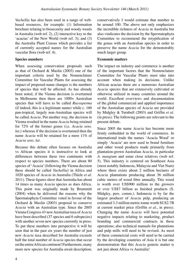*Vachellia* has also been used in a range of webbased resources, for example: (1) Information brochure relating to biosecurity and woody weeds in Australia (web ref. 2), (2) interactive key to the 'acacias' of the New World (web ref. 3); and (3) the Australia Plant Census which provides a list of currently accepted names for the Australian vascular flora (web ref. 4).

### **Species numbers**

When assessing conservation proposals such as that of Orchard & Maslin (2003) one of the important criteria used by the Nomenclature Committee for Vascular Plants for assessing the impact of proposed name changes is the numbers of species that will be affected. As has already been noted, if the Vienna decision is overturned in Melbourne then there are 1000+ Australian species that will have to be called *Racosperma* (if indeed, this is a legitimate name) while c. 160 pan-tropical, largely non-Australian species will be called *Acacia*. Put another way, the decision in Vienna resulted in the name *Acacia* being retained for 72% of the former genus (i.e. *Acacia sens. lat.*) whereas if the decision is overturned then the name *Acacia* will be retained for a mere 11% of *Acacia sens. lat*.

Because this debate often focuses on Australia vs African species it is instructive to look at differences between these two continents with respect to species numbers. There are about 80 species of 'Acacia' (following the Vienna decision these should be called *Vachellia*) in Africa and 1020 species of *Acacia* in Australia (Thiele *et al*. 2011). These figures show that Australia has about 14 times as many *Acacia* species as does Africa. This point was originally made by Brummitt (2004) when he delivered the reasons why the Spermatophyta Committee voted in favour of the Orchard & Maslin (2003) proposal to conserve *Acacia* with an Australian type. Since the 2005 Vienna Congress 43 new Australian taxa of *Acacia* have been described (37 species and 6 subspecies) with another seven new species currently in press. To put these numbers into perspective it will be seen that in the past six years the number of just new *Acacia* taxa described for Australia exceeds half the total number of *Acacia* species that occur on the entire African continent! Furthermore, many more new species for Australia await description; conservatively I would estimate that number to be around 100. The above not only emphasizes the incredible richness of *Acacia* in Australia but also vindicates the decision by the Spermatophyta Committee to recommend the retypification of the genus with an Australian species in order to preserve the name *Acacia* for the demonstrably much larger group.

### **Economic matters**

The impact on industry and commerce is another of the important factors that the Nomenclature Committee for Vascular Plants must take into account when making its decisions. Unlike African acacias there are a numerous Australian *Acacia* species that are extensively cultivated or otherwise utilized in many countries around the world. Excellent overviews and documentation of the global commercial and applied importance of the Australian species of *Acacia* are provided by Midgley & Turnbull (2003) and Griffin *et al.* (in press). The following points are relevant to the present debate.

Since 2005 the name *Acacia* has become more firmly embedded in the world of commerce. In international trade the names 'Acacia Wood' or simply 'Acacia' are now used to brand furniture and other wood products made primarily from plantation-grown Australian *Acacia*, in particular *A. mangium* and some close relatives (web ref. 5). This industry is centered on Southeast Asia (most notably Indonesia, Malaysia and Viet Nam) where there exists about 2 million hectares of *Acacia* plantations producing about 36 million cubic metres of wood fibre annually. This wood is worth over US\$900 million to the growers or over US\$7 billion as finished products (S. Midgley, pers. comm.). Indonesia is by far the largest producer of *Acacia* pulp, producing an estimated 3.3 million metric tonne worth \$US2.7B at current market price (Griffin *et al*., in press). Changing the name *Acacia* will have potential negative impacts relating to marketing, product branding and commercial contracts in these operations; also technical manuals for plantations and pulp mills will need to be revised. As most of these commercial costs will need to be carried by the developing countries of Asia it is but one demonstration that this *Acacia* generic matter is not just about Africa vs Australia!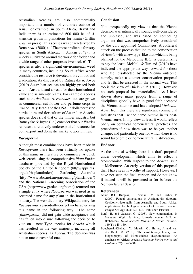Australian Acacias are also commercially important in a number of countries outside of Asia. For example, in South Africa, Brazil and India there is an estimated 600 000 ha of *A. mearnsii* grown in plantations for tannin (Griffin *et al*., in press). This species was characterized by Roux *et al.* (2000) as "The most profitable forestry species in South Africa…". *Acacia saligna* is widely cultivated around the world for fodder and a wide range of other purposes (web ref. 6). This species is also a significant environmental weed in many countries, including South Africa where considerable resource is devoted to its control and eradication. As discussed by Ratnayake & Joyce (2010) Australian acacias are highly prized both within Australia and abroad for their horticultural value and as amenity plants. For example, species such as *A. dealbata*, *A. retinodes*, etc. are grown as commercial cut flower and perfume crops in France, Italy, Israel and the USA. In dollar terms the horticulture and floriculture of Australian Acacias species does rival that of the timber industry, but Ratnayake & Joyce (l.c.) consider that our Wattles represent a relatively underexploited resource for both export and domestic market opportunities.

### *Racosperma***.**

Although most combinations have been made in *Racosperma* there has been virtually no uptake of this name in literature or commerce. A quick web search using the comprehensive *Plant Finder* databases provided by the Royal Horticultural Society of the United Kingdom (http://apps.rhs. org.uk/rhsplantfinder/), Gardening Australia (http://www.abc.net.au/gardening/plantfinder/) and the National Gardening Association of the USA (http://www.garden.org/home) returned not a single entry where *Racosperma* was used as an accepted name for any plant in the horticultural industry. The web dictionary Wikipedia entry for *Racosperma* is essentially correct in characterizing this name in the following way: "The name [*Racosperma*] did not gain wide acceptance and has fallen into disuse following the decision to vote on a new Type species for *Acacia* which has resulted in the vast majority, including all Australian species, as *Acacia*. The decision was not an uncontroversial one."

#### **Conclusion**

Not unexpectedly my view is that the Vienna decision was intrinsically sound, well-considered and unbiased, and was based on compelling argument that was comprehensively considered by the duly appointed Committees. A collateral attack on the process that led to the conservation of *Acacia* with a new type, like that which is being planned for the Melbourne IBC, is destabilizing to say the least. McNeill & Turland (2010) have indicated the appropriate way forward for those who feel disaffected by the Vienna outcome, namely, make a counter conservation proposal and let that be assessed in the normal way. This too is the view of Thiele *et al.* (2011). However, no such proposal has materialized. As I have shown above many people from a range of disciplines globally have in good faith accepted the Vienna outcome and have adopted *Vachellia*. Apart from this there are significant commercial industries that use the name *Acacia* in its post-Vienna sense. In my view at least it would reflect badly on botanical nomenclatural practices and procedures if now there was to be yet another change, and particularly one for which there is no sound taxonomic or nomenclatural justification.

#### **Endnote**

At the time of writing there is a draft proposal under development which aims to effect a 'compromise' with respect to the *Acacia* issue at Melbourne. An early version of this proposal that I have seen is worthy of support. However, I have not seen the final version and do not know if indeed it will be presented at (or before) the Nomenclatural Session.

#### **References**

- Adair, R.J., Burgess, T., Serdani, M. and Barber, P. (2009). Fungal associations in Asphondylia (Diptera: Cecidomyiidae) galls from Australia and South Africa: implications for biological control of invasive acacias. *Fungal Ecology* 2(3): 121–134. (Publisher: Elsevier)
- Banfi, E. and Galasso, G. (2008). New combinations in *Vachellia* Wight & Arn., formerly *Acacia* Mill. ss. (Fabaceae). *Della Sociieta Italiana di Scienze Naturali* 149(1): 149–150.
- Bouchenak-Khelladi, Y., Maurin, O., Hurter, J. and van der Bank, M. (2010). The evolutionary history and biogeography of Mimosoideae (Leguminosae): An emphasis on African acacias. *Molecular Phylogenetics and Evolution* 57(2): 495-508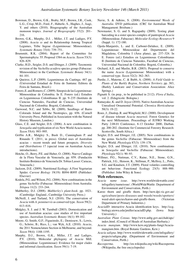- Bowman, D., Brown, G.K., Braby, M.F., Brown, J.R., Cook, L.G., Crisp, M.D., Ford, F., Haberle, S., Hughes, J., Isagi, Y. and others (2010). Biogeography of the Australian monsoon tropics. *Journal of Biogeography* 37(2): 201– 216.
- Brown, G.K., Murphy, D.J. , Miller, J.T. and Ladiges, P.Y. (2008). *Acacia ss* and its Relationship Among Tropical Legumes, Tribe Ingeae (Leguminosae: Mimosoideae). *Systematic Botany* 33(4): 739–751.
- Brummitt, R.K. (2004). Report of the Committee for Spermatophyta: 55. Proposal 1584 on *Acacia*. *Taxon* 53(3): 826–829.
- Clarke, H.D., Seigler, D.S. and Ebinger, J. (2009). Taxonomic revision of the *Vachellia acuifera* species group (Fabaceae: Mimosoideae) in the Carribean. *Systematic Botany* 34(1): 84–101.
- de Queiroz, L.P. (2009). Leguminosas da Caatinga. 467 pp. (Universidad Estadual de Feira de Santana: Editora da Feira de Santana, Brazil.)
- Forero, E. and Romero, C. (2009). Sinopsis de las Leguminosae: Mimosoideae de Colombia. In E. Forero (ed.) Estudios en Leguminosas Colombianas II. pp. 9–235 (Instituto de Ciencias Naturales, Facultad de Ciencias, Universidad Nacional de Colombia: Bogotá, Colombia).
- Garwood, N.C. and Tebbs, M. (2009). Seedlings of Barro Colorado Island and the Neotropics, pp. 656. (Cornell University Press, Published in Association with the Natural History Museum, London.)
- Glass, C.E. and Seigler, D.S. (2006). A new combination in *Senegalia* and typification of six New World Acacia names. *Taxon* 55(4): 993–995.
- Griffin A.R., Midgley S., Bush D., Cunningham P. and Rinaudo T. (2011, in press). Global uses of Australian acacias – recent trends and future prospects. *Diversity and Distributions* 17 (special issue on Australian Acacia introductions).
- Hotche, O., Berry, P.E. and Huber, O. (2008). Nuevo Catálogo de la Flora Vascular de Venezuela. pp. 859. (Fundación Instituto Botánico de Venezuela Dr. Tobias Lasser: Caracas, Venezuela.)
- Jackson, D.E. (2009). Nutritional Ecology: A First Vegetarian Spider. *Current Biology* 19(19): R894–R895 (Publisher: Elsevier)
- Kodela, P.G. and Wilson, P.G. (2006). New combinations in the genus *Vachellia* (Fabaceae: Mimosoideae) from Australia. *Telopea* 11(2): 233–244.
- Mabberley, D.J. (2008). *Mabberley's plant-book*. pp. 1021. (Cambridge: England., Cambridge University Press.)
- McNeill, J. and Turland, N.J. (2010). The conservation of *Acacia* with *A. penninervis* as conserved type. *Taxon* 59(2): 613–616.
- Midgley, S. J. and J. W. Turnbull (2003). Domestication and use of Australian acacias: case studies of five important species. *Australian Systematic Botany* 16(1): 89-102.
- Moore, G; Smith, G.F.; Figueiredo, E.; Demissew, S.; Lewis, G.; Schrire, B.; Rico, L.; van Wyk, A.E. (2010). *Acacia*, the 2011 Nomenclature Section in Melbourne, and beyond. *Taxon* 59(4): 1188-1195.
- Murphy, D.J., Brown, G.K., Miller, J.T. and Ladiges, P.Y. (2010). Molecular phylogeny of *Acacia* Mill. (Mimosoideae: Leguminosae): Evidence for major clades and informal classification. *Taxon* 59(1): 7-19.
- Navie, S. & Adkins, S. (2008). *Environmental Weeds of Australia*. DVD publication. (CRC for Australian Weed Managament: Brisbane.)
- Newmaster, S. G. and S. Ragupathy (2009). Testing plant barcoding in a sister species complex of pantropical *Acacia* (Mimosoideae, Fabaceae). *Molecular Ecology Resources* 9 (Suppl. 1): 172-180.
- Ojeda-Manjarrés, L. and E. Carbonó-Delahoz, E. (2009). Leguminosae: Mimosoideae del Departmento del Magdalena, Colombia I (Área plana), pp. 237–324. In E. Forero (ed.) Estudios en Leguminosas Colombianas II (Instituto de Ciencias Naturales, Facultad de Ciencias, Universidad Nacional de Colombia: Bogotá, Colombia.)
- Orchard, A.E. and Maslin, B.R. (2003). Proposal to conserve the name *Acacia* (Leguminosae: Mimosoideae) with a conserved type. *Taxon* 52(2): 362–363.
- Purdie, J., Materne, C. & Bubb, A. (2008). *A Field Guide to Plants of the Barkly Region, Northern Territory.* pp. 383, (Barkly Landcare and Conservation Association: Alice Springs.)
- Pignatti S. (in prep., to be published in 2112). *Flora d'Italia*, vol. 2. (Edagricole: Bologna.)
- Ratnayake, K. and D. Joyce (2010). Native Australian Acacias: Unrealised Ornamental Potential. *Chronica Horticulturae* 50(3): 19-22.
- Roux, J., Dunlop, R. and Wingfield, M.J. (2000). Development of disease tolerant *Acacia mearnsii*. Forest Genetics for the next Millennium. Proceedings of IUFRO Working Party 2.08.01 Conference, 8-13 October 2000, Durban. pp. 200-202. (Institute for Commercial Forestry Research: Scottsville, South Africa.)
- Seigler, D.S. and Ebinger, J.E. (2005). New combinations in the genus *Vachellia* (Fabaceae: Mimosoideae) from the New World. *Phytologia* 87(3): 139–178.
- Seigler, D.S. and Ebinger, J.E. (2010). New combinations in *Senegalia* and *Vachellia* (Fabaceae: Mimosoideae). *Phytologia* 92(1): 90–93.
- Willmer, P.G., Nuttman, C.V., Raine, N.E., Stone, G.N., Pattrick, J.G., Henson, K., Stillman, P., McIlroy, L., Potts, S.G. and Knudsen, J.T. (2009). Floral volatiles controlling ant behaviour. Functional Ecology 23(5): 888–900. (Publisher: John Wiley & Sons)

#### **Web references.**

- *Acacia name issue*. http://www.worldwidewattle.com/ infogallery/nameissue/. (WorldWideWattle: Department of Environment and Conservation, Perth.)
- Karoo thorn and giraffe thorn. http://new.dpi.vic.gov.au/ agriculture/pests-diseases-and-weeds/weeds/spotters/ weed-alert-species/karoo-and-giraffe-thorn. (Victorian Department of Primary Industries.)
- *AcaciaID*: interactive Acacia identification keys. http://ccg. biology.uiowa.edu/jmiller/acaciaID.php. (Iowa State University.)
- *Australian Plant Census*. http://www.anbg.gov.au/chah/apc/ index.html. (Council of Heads of Australian Herbaria.)
- *Acacia mangium*. http://www.kew.org/plants-fungi/Acaciamangium.htm. (Royal Botanic Gardens, Kew.)
- *Acacia saligna*. http://www.worldwidewattle.com/infogallery/ projects/saligna.php. (Department of Environment and Conservation, Perth.)
- *Racosperma*. http://en.wikipedia.org/wiki/Racosperma (Wikipedia, the free encyclopedia)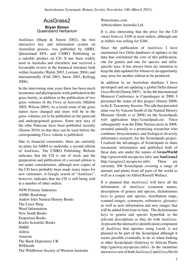# AusGrass2

#### **Bryan Simon** Queensland Herbarium

AusGrass (Sharp & Simon 2002), the first interactive key and information system on Australian grasses, was published by ABRS, Queensland EPA, and CSIRO Publishing as a saleable product on CD. It has been widely used in Australia and elsewhere and received a favourable review in the botanical literature both within Australia (Walsh 2003, Lorimer 2004) and internationally (Fish 2003, Snow 2003, Kellogg 2006).

In the intervening nine years there has been much taxonomic and phylogenetic work published on the grass family, in addition to the publication of two grass volumes of the *Flora of Australia* (Mallett 2005; Wilson 2009). As a result some of the grass names have changed and more will be in the grass volumes yet to be published on the panicoid and andropogonoid grasses. Some new taxa of the tribe Paniceae have been published recently (Simon 2010) so that they can be used before the corresponding *Flora* volume is published.

Due to financial constraints, there are currently no plans for ABRS to undertake a second edition of AusGrass. The CSIRO Publishing Website indicates that the CD is out of stock and the preparation and publication of a second edition is not under consideration, although new copies of the CD have probably been made many times for new customers. A Google search of "AusGrass", however, indicates that the CD is still being sold at a number of other outlets:

NSW Primary Industries ANBG Bookshop Andew Isles Natural History Books The Lawn Shop Weed Information New South Books Emporium Books Koeltz Scientific Books **NHBS** Alibris Amazon The Book Depository UK WHSmith The Wildflower Society of Western Australia Waterstones.com Arboriculture Australia Ltd.

It is also interesting that the price for the CD varies from ca. \$100 at most outlets, although one at Alibris was selling for \$266.

Since the publication of *AusGrass* I have maintained two Delta databases of updates to the data that constituted the core of this publication, one for genera and one for species and infraspecific taxa. It has always been my intention to keep the data updated for whenever an opportunity may arise for another edition to be produced.

In addition to an Australian database I have developed and am updating a global Delta dataset *GrassWorld* (Simon 2007). At the 4th International Monocot Conference in Copenhagen in 2008, I presented the status of this project (Simon 2008) in the E-Taxonomy Session. The talk that preceded mine was by Vincent Smith of the Natural History Museum (Smith *et al* 2008) on the Scratchpads web application http://scratchpads.eu/. Vince subsequently won the Ebbe Nielsen prize in 2008, awarded annually to a promising researcher who combines biosystematics and biological diversity informatics research, for the Scratchpads project. I realised the advantages of Scratchpads to share taxonomic information and published both of these data sets under the names of **GrassWorld** http://grassworld.myspecies.info/ and **AusGrass2** http://ausgrass2.myspecies.info/. There are currently 206 Scratchpads covering a range of animals and plants from all parts of the world as well as a couple on Alfred Russell Wallace.

It is planned that *AusGrass2* will have all the information of *AusGrass* (common names, descriptions of genera and species, dichotomous keys to genera and species, distribution maps, scanned images, synonyms, references, glossary) as well as new information and new images that will be added from time to time. The dichotomous keys to genera and species hyperlink to the relevant descriptions as they do with *AusGrass*. At present the interactive identification component of *AusGrass* that operates using Lucid, is not planned to be part of the Scratchpad although it seems possible eventually to do so when looking at other Scratchpads (Gateway to African Plants http://gateway.myspecies.info/). In the meantime interactive sets of both *AusGrass2* and *GrassWorld*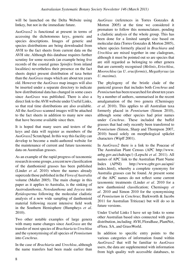will be launched on the Delta Website using Intkey, but not in the immediate future.

*AusGrass2* is functional at present in terms of accessing the dichotomous keys, generic and species descriptions. Images of generic and species distributions are being downloaded from AVH to the fact sheets from current data on the AVH site. Although this database requires further scrutiny for some records (an example being five records of the coastal genus *Spinifex* from inland localities) nevertheless their presence on the fact sheets depict present distribution of taxa better than the *AusGrass* maps which are about ten years old. However the *AusGrass* map images will also be inserted under a separate directory to indicate how distributional data has changed in some cases since *AusGrass* was published. There is also a direct link to the AVH website under Useful Links, so that real time distributions are also available. All the *AusGrass* scanned images will be attached to the fact sheets in addition to many new ones that have become available since then.

It is hoped that many users and testers of the keys and data will register as members of the *AusGrass2* Scratchpad. In this way this facility can develop to become a multi-authored website for the maintenance of current and future taxonomic data on Australian grasses.

As an example of the rapid progress of taxonomic research in some groups, a recent new classification of the danthonioid grasses has been published (Linder *et al*. 2010) where the names already supercede those published in the *Flora of Australia*  volume (Mallet 2005). The main change in this paper as it applies to Australia, is the sinking of *Austrodanthonia*, *Notodanthona* and *Joycea* into *Rytidosperma* following the molecular cladistic analysis of a new wide sampling of danthonioid material following recent intensive field work in the Southern Hemisphere (Humpheys *et al*. 2010).

Two other notable examples of large genera with many name changes since *AusGrass* are the transfer of most species of *Brachiaria* to *Urochloa* and the synonymising of all species of *Pennisetum* into *Cenchrus*.

In the case of *Brachiaria* and *Urochloa*, although the name transfers had been made earlier than *AusGrass* (references in Torres Gonzales & Morton 2005) at the time we considered it premature to follow this nomenclature, pending a cladistic analysis of the whole group. This has been done for a limited sample size based on molecular data (Torres Gonzales & Morton 2005), where species formerly placed in *Brachiara* and *Urochloa* are mixed together in one cladogram, although it must be pointed out so are species that are still regarded as belonging to other genera that are currently recognised (*Melinis*, *Eriochloa*, *Moorochloa* (as *U. eruciformis*), *Megathyrsus* (as *U. maxima*).

The phylogeny of the bristle clade of the panicoid grasses that includes both *Cenchrus* and *Pennisetum* has been researched for about ten years by a number of authors, summarised in the recent amalgamation of the two genera (Chemisquy *et al*. 2010). This applies to all Australian taxa formerly placed in *Pennisetum* (Simon 2010), although some other species had prior names under *Cenchrus*. These included the buffel grasses that had only recently been transferred to *Pennisetum* (Simon, Sharp and Thompson 2007, 2010) based solely on morphological spikelet characters (Wipff 2001).

In *AusGrass2* there is a link to the Poaceae of The Australian Plant Census (APC http://www. anbg.gov.au/chah/apc/) (Lepschi *et al*. 2011). All names of APC link to the Australian Plant Name Index (APNI) http://www.cpbr.gov.au/apni/ index.html), whereby a complete synonymy for Australia grasses can be found. At present some of the APC names do not reflect some current taxonomic treatments (Linder *et al*. 2010 for a new danthonioid classification; Chemisquy *et al*. 2010 and Simon 2010 for the synonymising of *Pennisetum* in *Cenchrus*; Barkworth & Jacobs 2011 for Australian Triticeae) but will do so in future versions.

Under Useful Links I have set up links to some other Australian based sites connected with grass distribution, including AVH, FloraBase, PlantNet, eFlora. SA, and GrassWorld.

In addition to specific entry points to the various categories of information found within *AusGrass2* that will be familiar to *AusGrass* users, the data are supplemented with information from high quality web accessible databases, to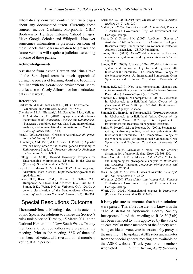automatically construct content rich web pages about any documented taxon. Currently these sources include Genbank, Morphbank, GBIF, Biodiversity Heritage Library, Yahoo! Images, flickr, Google Scholar and Wikipedia. However sometimes information is presented on some of these panels that bears no relation to grasses and future versions will require a judicious screening of some of these panels.

#### **Acknowledgements**

Assistance from Kehan Harman and Irina Brake of the Scratchpad team is much appreciated during the process of learning about and becoming familiar with the Scratchpad environment. Many thanks also to Yucely Alfonso for her meticulous data entry work.

#### **References**

- Barkworth, M.E. & Jacobs, S.W.L. (2011). The Triticeae (Gramineae) in Australasia. *Telopea* 13: 37-50.
- Chemisquy, M. A., Giussani, L.M., Scataglini, M.A, Kellogg, E. A. & Morrone, O. (2010). Phylogenetic studies favour the unification of *Pennisetum*, *Cenchrus* and *Odontelytrum* (Poaceae): a combined nuclear, plastid and morphological analysis, and nomenclatural combinations in *Cenchrus*. *Annals of Botany* 106: 107-130.
- Fish, L. (2003). AusGrass Grasses of Australia. *South African Journal of Botany* 69: 452.
- Humphreys, A.M., Pirie, M.D. & Linder, H.P. (2010). A plastid tree can bring order to the chaotic generic taxonomy of *Rytidosperma* Steud. *s.l.* (Poaceae). *Molecular Phylogeny and Evolution* 55: 911-928.
- Kellogg, E.A. (2006). Beyond Taxonomy: Prospects for Understanding Morphological Diversity in the Grasses (Poaceae). *Darwiniana* 44 (1): 7-17.
- Lepschi, B., Monro, A. & Orchard, T. (2011 and ongoing). Australian Plant Census. http://www.anbg.gov.au/chah/ apc/index.html
- Linder, H.P., Baeza, C.M., Barker, N., Galley, C.A., Humphreys, A., Lloyd, K.M., Orlovich, D.A., Pirie, M.D., Simon, B.K., Walsh, N.G & Verboom, G.A. (2010). A generic classification of the Danthonoideae (Poaceae). *Annals of the Missouri Botanical Garden* 97 (3): 307-364.

# Special Resolutions Outcome

The second General Meeting to decide the outcome of two Special Resolutions to change the Society's rules took place on Tuesday, 15 March 2011 at the National Herbarium of New South Wales. Twenty members and four councillors were present at the meeting. Prior to the meeting, 86% of financial members had voted, with two additional members voting at it in person.

- Lorimer, G.S. (2004). AusGrass: Grasses of Australia. *Austral Ecology* 29 (2): 238-239.
- Mallett, K. (2005). *Flora of Australia. Volume 44B, Poaceae 3,* Australian Government: Dept of Environment and Heritage: 486 pp.
- Sharp, D. & Simon, B.K. (2002). AusGrass. Grasses of Australia, CD-Rom Version 1.0. (Australian Biological Resources Study, Canberra and Environmental Protection Authority Queensland. CSIRO Publishing.
- Simon, B.K. (2007). GrassWorld interactive key and information system of world grasses. *Kew Bulletin* 62: 475-484.
- Simon, B.K. (2008). Update of GrassWorld information system and interactive key to world grasses. 4th International Conference: The Comparative Biology of the Monocotyledons: 5th International Symposium: Grass Systematics and Evolution. Copenhagen, Monocots IV: 56.
- Simon, B.K. (2010). New taxa, nomenclatural changes and notes on Australian grasses in the tribe Paniceae (Poaceae: Panicoideae). *Austrobaileya* 8 (2): 187-221.
- Simon, B.K., Sharp, D. & Thompson, E.J. (2007). *Pennisetum*. In P.D.Bostock & A.E.Holland (eds.), *Census of the Queensland Flora 2007*, pp. 161-162. Environmental Protection Agency: Brisbane.
- Simon, B.K., Sharp, D. & Thompson, E.J. (2010). *Pennisetum*. In P.D.Bostock & A.E.Holland (eds.), *Census of the Queensland Flora 2007,* pp. 156. Department of Environment and Resource Management: Brisbane.
- Smith, V., Rycroft, S.D. & Roberts, D. (2008). Scratchpads: getting biodiversity online, redefining publication. 4th International Conference: The Comparative Biology of the Monocotyledons: 5th International Symposium: Grass Systematics and Evolution. Copenhagen, Monocots IV: 57.
- Snow, N. (2003). AusGrass: a model for the efficient dissemination of taxonomic data. *Taxon* 52: 398-400.
- Torres Gonzalez, A.M. & Morton, C.M. (2005). Molecular and morphological phylogenetic analysis of *Brachiaria* and *Urochloa* (Poaceae). *Molecular Phylogenetics and Evolution* 37: 36-44.
- Walsh, N. (2003). AusGrass: Grasses of Australia. *Austr. Syst. Bot. Soc. Newsletter* 114: 23-25.
- Wilson, A. (2009). *Flora of Australia. Volume 44A, Poaceae 2,* Australian Government: Dept of Environment and Heritage: 410 pp.
- Wipff, J.K. (2001). Nomenclatural changes in *Pennisetum* (Poaceae: Paniceae). *Sida* 19: 523–530.

It is my pleasure to announce that both resolutions were passed. Therefore, we are now known as the "The Australasian Systematic Botany Society Incorporated" and the wording to Rule 30(5)(b) has been changed to "it is approved by the vote of at least 75% of those members of the Society who, being entitled to vote, vote in person or by proxy at the meeting". The updated ASBS rules and minutes from the special general meeting are available on the ASBS website. Thank you to all members who voted. *Gillian Brown, ASBS Secretary*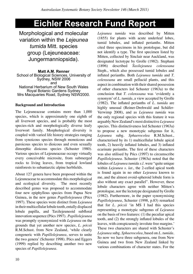# **Eichler Research Fund Report**

Morphological and molecular variation within the *Lejeunea tumida* Mitt. species group (Lejeuneaceae: Jungermanniopsida).

**Matt A.M. Renner** School of Biological Sciences, University of Sydney, NSW 2006 and National Herbarium of New South Wales Royal Botanic Gardens Sydney Mrs Macquaries Road, Sydney NSW2000.

# **Background and Introduction**

The Lejeuneaceae contains more than 1,000 species, which is approximately one eighth of all liverwort species, and is probably the most species-rich and morphologically diverse leafy liverwort family. Morphological diversity is coupled with varied life history strategies ranging from synoicous species through monoicous and paroicous species to dioicous and even sexually dimorphic dioicous species (Schuster 1980). Various species of Lejeuneaceae occupy virtually every conceivable microsite, from submerged rocks to living leaves, from tropical lowland rainforests to subantarctic alpine herbfields.

About 127 genera have been proposed within the Lejeuneaceae to accommodate this morphological and ecological diversity. The most recently described genus was proposed to accommodate four new epiphyllous species from Papua New Guinea, in the new genus *Papillolejeunea* (Pócs 1997). These species were distinct from *Lejeunea*  in their multicellular lobule tooth, entally displaced lobule papilla, and Taxilejeuneoid subfloral innovation sequence (Pócs 1997). *Papillolejeunea* was promptly synonymized with *Lejeunea* on the grounds that yet another new species, *L. pócsii* R.M.Schust. from New Zealand, 'while clearly congeneric with *Papillolejeunea*, serves to unite the two genera' (Schuster 1998). Pócs and Eggers (1999) replied by describing another two new species of *Papillolejeunea*.

*Lejeunea tumida* was described by Mitten (1855) for plants with acute underleaf lobes, tumid lobules, and inflated perianths. Mitten cited three specimens in his protologue, but did not identify a type. The first specimen listed by Mitten, collected by Sinclair near Auckland, was designated lectotype by Grolle (1982). Stephani (1896) described *Taxilejeunea colensoana*  Steph., which also possessed tumid lobules and inflated perianths. Both *Lejeunea tumida* and *T. colensoana* are small pellucid plants, and this aspect in combination with their shared possession of other characters led Schuster (1963a) to the conclusion that *T. colensoana* was 'evidently a synonym' of *L. tumida*, a view accepted by Grolle (1982). The inflated perianths of *L. tumida* are highly unusual (Reiner-Drehwald and Schäfer-Verwimp 2008), and as *Lejeunea tumida* was the only regional species with this feature it was arguably New Zealand's most distinctive *Lejeunea*  species. This distinctiveness led Schuster (1963a) to propose a new monotypic subgenus for it, *Lejeunea* subg. *Sphaerocolea* R.M.Schust.*,*  characterised by its 1) multicellular lobule apical tooth, 2) heavily inflated lobules, and 3) inflated ecarinate perianths. The first of these characters was also utilised by Pócs (1997) to circumscribe *Papillolejeunea*. Schuster (1963a) noted that the lobules of *Lejeunea tumida s.l.* were "quite unique within *Lejeunea s. lat.,* the 2-celled apical tooth is found again in no other *Lejeunea* known to me, and the almost ovoid-spheroid lobule form is also without any exact parallel". However, these lobule characters agree with neither Mitten's protologue, nor the lectotype designated by Grolle (1982). Furthermore, in the paper synonymising *Papillolejeunea*, Schuster (1998, p.83) remarked that for *L. pócsii* 'in MS I had this species representing a monotypic subgenus of *Lejeunea*  on the basis of two features: (1) the peculiar apical tooth, and (2) the strongly inflated lobules of the leaves, with conspicuously involute free margins.' These two characters are shared with Schuster's *Lejeunea* subg. *Sphaerocolea*, based on *L. tumida*. So now we have three subgenera, one from New Guinea and two from New Zealand linked by various combinations of character states. For the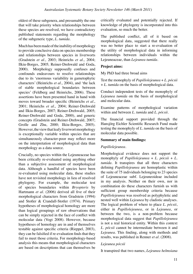oldest of these subgenera, and presumably the one that will take priority when relationships between these species are resolved, we have contradictory published statements regarding the morphology of the subgeneric type, *L. tumida*.

Much has been made of the inability of morphology to provide conclusive data on species membership and relationships between species in liverworts (Gradstein *et al.,* 2003; Heinrichs *et al.,* 2004; Ilkiu-Borges, 2005; Reiner-Drehwald and Goda, 2000). Morphology supposedly confuses and confounds endeavours to resolve relationships due to its 'enormous variability in gametophytic characters' (Heinrichs *et al.,* 2004), and 'the lack of stable morphological boundaries between species' (Feldberg and Heinrichs, 2006). These assertions have been presented hand in hand with moves toward broader specific (Heinrichs *et al.,* 2001; Heinrichs *et al.,* 2004; Reiner-Drehwald and Ilkiu-Borges, 2007; Reiner-Drehwald, 2005; Reiner-Drehwald and Goda, 2000), and generic concepts (Gradstein and Reiner-Drehwald, 2007; Grolle and Zhu, 2000; Ilkiu-Borges, 2005). However, the view that leafy liverwort morphology is exceptionally variable within species that are simultaneously character-poor may reflect more on the interpretation of morphological data than morphology as a data source.

Crucially, no species within the Lejeuneaceae has been critically re-evaluated using anything other than a subjective assessment of morphological data. Although a handful of species have been re-evaluated using molecular data, these studies have not revisited morphology in lieu of resolved phylogeny. For example, the molecular test of species boundaries within *Bryopteris* by Hartmann *et al.* (2006) derived all five of their morphological characters from Gradstein (1994) and Stotler & Crandall-Stotler (1974). Primary hypotheses of morphological homology are more than logical groupings of raw observations that can be simply rejected in the face of conflict with molecular data (Vogt 2008). However, because hypotheses of homology are in and of themselves testable against specific criteria (Rieppel, 2003), they can be falsified if re-evaluation finds that they fail to meet those criteria. For morphology-based analysis this means that morphological characters are based on descriptions that can themselves be

critically evaluated and potentially rejected. If knowledge of phylogeny is incorporated into this evaluation, so much the better.

The published conflict, all of it based on morphological data, suggested that there really was no better place to start a re-evaluation of the utility of morphological data in informing relationships between individuals within the Lejeuneaceae, than *Lejeunea tumida*.

### **Project aims:**

My PhD had three broad aims

Test the monophyly of *Papillolejeunea* + *L. pócsii*  + *L. tumida* on the basis of morphological data.

Conduct independent tests of the monophyly of *Lejeunea tumida* on the basis of morphological and molecular data.

Examine patterns of morphological variation within and between *L. tumida* and *L. pócsii*.

The financial support provided through the Hansjörg Eichler Scientific Research Fund made testing the monophyly of *L. tumida* on the basis of molecular data possible.

#### **Summary of main findings:**

#### *Papillolejeunea*.

Morphological evidence does not support the monophyly of *Papillolejeunea* + *L. pócsii* + *L. tumida*. It transpires that all three characters defining *Papillolejeunea* are homoplastic within the suite of 75 individuals belonging to 23 species of Lejeuneaceae subf. Lejeuneoideae included in my analysis. Neither on their own, nor in combination do these characters furnish us with sufficient group membership criteria because *Papillolejeunea* was resolved as polyphyletic and nested well within *Lejeunea* by cladistic analyses. The logical problem of where to place *L. pócsii*, either in *Papillolejeunea*, or in *Lejeunea*, or between the two, is a non-problem because morphological data suggest that *Papillolejeunea*  is not a real historical entity. Within this context *L. pócsii* cannot be intermediate between it and *Lejeunea.* This finding, along with methods and results, was published in Renner *et al*. (2008).

#### *Lejeunea pócsii*

It transpired that two names, *Lejeunea helmsiana*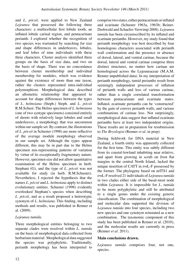and *L. pócsii,* were applied to New Zealand *Lejeunea* that possessed the following three characters: a multicellular first lobule tooth, an inflated lobule carinal region, and pentacarinate perianth. I explored whether the recognition of two species was warranted by searching for size and shape differences in underleaves, lobules, and leaf lobes of nine individuals with these three characters. Cluster analysis identified three groups on the basis of size data, and two on the basis of shape. There was no concordance between cluster membership and individual membership for modules, which was evidence against the existence of more than one taxon, rather the clusters represented intra-individual polymorphism. Morphological data described an allometric relationship that appeared to account for shape differences between the types of *L. helmsiana* (Steph.) Steph. and *L. pócsii* R.M.Schust. The Helms specimen of *L. helmsiana*  (one of two syntype specimens) consisted entirely of shoots with relatively large lobules and small underleaves, a morphology that was uncommon within our sample set. By contrast, the illustrations of *L. pócsii* in Schuster (1998) are more reflective of the average module morphology observed in our sample set. Although the types appear different, this may be in part due to the Helms specimen mis-representing patterns of variation by virtue of its exceptionally fragmentary nature. However, specimen size did not allow quantitative examination of the Helms specimen in herb. Stephani (G), and the type of *L. pócsii* was not available for study (in herb. R.M.Schuster). Nevertheless, I rejected the hypothesis that the names *L. pócsii* and *L. helmsiana* apply to distinct evolutionary entities. Schuster (1998) evidently overlooked Stephani's species when describing *L. pócsii*, and as a result proposed a heterotypic synonym of *L. helmsiana.* This finding, including methods and results, was published in Renner et al. (2009).

# *Lejeunea tumida*.

Three morphological entities belonging to two separate clades were resolved within *L. tumida*  on the basis of morphological data collected from herbarium material. Morphological data suggested the species was polyphyletic. Traditionally, perianth morphology has been interpreted to

comprise two states, either pentacarinate or inflated and ecarinate (Schuster 1963a, 1963b; Reiner-Drehwald and Schaefer-Verwimp 2008). *Lejeunea tumida* has been circumscribed by its inflated and ecarinate perianths. However, my study found that perianth morphology was best described by four homologous characters associated with perianth wall conformation and the presence or absence of dorsal, lateral, and ventral carinae, because the dorsal, lateral and ventral carinae comprise three distinct structures, no matter how carinae are homologised across the Lejeuneaceae (M.A.M. Renner unpublished data). In my interpretation of perianth morphology, tumid perianths result from seemingly independent processes of inflation of perianth walls and loss of various carinae, rather than a single correlated transformation between pentacarinate and ecarinate states. Inflated, ecarinate perianths can be 'constructed' by the gain of convex perianth walls, and various combinations of carinae loss. Not surprisingly, morphological data suggest that inflated ecarinate perianths have at least two independent origins. These results are in preparation for resubmission to *The Bryologist* (Renner *et al*. in prep).

During fieldwork for DNA material in New Zealand, a fourth entity was apparently collected for the first time. This entity was subtly different from its coastal-lowland inhabiting near relative, and apart from growing in scrub on frost flat margins in the central North Island, lacked the unique insertion of CATT in *trn*L-F possessed by the former. The phylogeny based on nrITS1 and *trn*L-F resolved 21 individuals of *Lejeunea tumida* in two clades either side of the basal-most node within *Lejeunea*. It is impossible for *L. tumida*  to be more polyphyletic and still be attributed to a single genus under the existing generic classification. The combination of morphological and molecular data supported the division of *Lejeunea tumida* into four species, including two new species and one synonym reinstated as a new combination. The taxonomic component of this study has been published in Renner et al. (2010), and the molecular results are currently in press (Renner *et al*. 2011).

### **Main conclusions drawn.**

*Lejeunea tumida* comprises four, not one, species.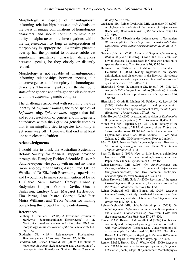Morphology is capable of unambiguously informing relationships between individuals on the basis of unique combinations of homologous characters, and should continue to have high utility in alpha-taxonomic investigations within the Lejeuneaceae, so long as interpretation of morphology is appropriate. Extensive phenetic overlap has the potential to obscure subtle yet significant qualitative character differences between species, be they closely or distantly related.

Morphology is not capable of unambiguously informing relationships between species, due to convergence and homoplasy in homologous characters. This may in part explain the shambolic state of the generic and infra-generic classification within the *Lejeunea*-generic complex.

The challenges associated with resolving the true identity of *Lejeunea tumida*, the type species of *Lejeunea* subg. *Sphaerocolea*, suggest that full and robust resolution of generic and infra-generic boundaries within the *Lejeunea* generic complex that is meaningfully tied to species taxonomy is yet some way off. However, that end is at least one step closer to fruition.

#### **Acknowledgments**

I would like to thank the Australian Systematic Botany Society for financial support provided through the Hansjörg Eichler Scientific Research Fund; everyone who put up with me and my thesis (more apology than thanks); Assoc. Prof. Glenda Wardle and Dr Elizabeth Brown, my supervisors; and I would like to make special mention of David J. Clarke, Sam Clayman, Carolyn Connelly, Endymion Cooper, Yvonne Davila, Graeme Finlayson, Lindsey Gray, Margaret Heslewood, Tim Parrat, Lou Pastro, Georgia Ward-Fear, Moira Williams, and Trevor Wilson for making completing this project far more entertaining.

#### **References**

- Feldberg K Heinrichs J (2006) A taxonomic revision of *Herbertus* (Jungermanniidae: Herbertaceae) in the Neotropics based on nuclear and chloroplast DNA and morphology. *Botanical Journal of the Linnean Society* **151**, 309–332.
- Gradstein SR (1994) Lejeuneaceae: Ptychantheae, Brachiolejeuneae. *Fl. Neotrop. Monogr.* **62**, 1-216.
- Gradstein SR, Reiner-Drehwald ME (2007) The status of *Neopotamolejeunea* (Lejeuneaceae) and description of a new species from Ecuador and Southern Brazil. *Systematic*

*Botany* **32**, 487-492.

- Gradstein SR, Reiner–Drehwald ME, Schneider H (2003) A phylogenetic analysis of the genera of Lejeuneaceae (Hepaticae). *Botanical Journal of the Linnean Society* **143**, 391–410.
- Grolle R (1982) Ubersicht der Lejeuneaceae in Tasmanien. *Wissenschaftliche Zeitschrift der Friedrich-Schiller-Universitaet Jena Naturwissenschaftliche Reihe* **31**, 207– 227.
- Grolle R, Zhu R-L (2000) A study of *Drepanolejeunea* subg. *Rhaphidolejeunea* (Herzog) Grolle and R.L. Zhu, stat. nov. (Hepaticae, Lejeuneaceae) in China with notes on its species elsewhere. *Nova Hedwigia* **70**, 373-396.
- Hartmann FA, Wilson R, Gradstein SR, Schneider H, Heinrichs J (2006) Testing hypotheses on species delimitations and disjunctions in the liverwort *Bryopteris* (Jungermanniopsida: Lejeuneaceae). *International Journal of Plant Sciences* **167**, 1205–1214.
- Hienrichs J, Groth H, Gradstein SR, Rycroft DS, Cole WJ, Anton H (2001) *Plagiochila rutilans* (Hepaticae): A poorly known species from tropical America. *The Bryologist* **104**, 350-361.
- Hienrichs J, Groth H, Lindner M, Feldberg K, Rycroft DS (2004) Molecular, morphological, and phytochemical evidence for a broad species concept of *Plagiochila bifaria* (Hepaticae). *The Bryologist* **107**, 28–40.
- Ilkiu–Borges AL (2005) A taxonomic revision of *Echinocolea* (Lejeuneaceae, hepaticae). *Nova Hedwigia* **80**, 45–71.
- Mitten W (1855) Hepaticae. pp 125–172. In 'Botany of the Antarctic Voyage of H.M. discovery ships *Erebus* and *Terror* in the Years 1839-1843: under the command of Captain Sir James Clark Ross. Volume II. Flora Nova Zelandiae 2. (Ed. JD Hooker) (Lovell Reeve: London).
- Pócs T. 1997. New or little known epiphyllous liverworts, VI. *Papillolejeunea* gen. nov. from Papua New Guinea. *Tropical Bryology* **13,** 1-18.
- Pocs T, Eggers J (1999) New or little known epiphyllous liverworts, VIII. Two new *Papillolejeunea* species from Papua New Guinea. *Bryobrothera* **5**, 159-164.
- Reiner-Drehwald ME (2005) On *Amphilejeunea* and *Cryptogynolejeunea*, two small genera of Lejeuneaceae (Jungermanniopsida), and two common neotropical *Lejeunea* species. *Nova Hedwigia* **81**, 395-411.
- Reiner-Drehwald ME, Goda A (2000) Revision of the genus *Crossotolejeunea* (Lejeuneaceae, Hepaticae). *Journal of the Hattori Botanical Laboratory* **89**, 1-54.
- Reiner–Drehwald ME, Ilkiu–Borges AL (2007) *Lejeunea huctumalcensis,* a widely distributed Lejeuneaceae from the Neotropics, and its relation to *Ceratolejeunea*. *The Bryologist* **110,** 465-474.
- Reiner–Drehwald ME, Schafer–Verwimp A (2008) On *Inflatolejeunea*, *Lejeunea* species with eplicate perianths and *Lejeunea talamancensis* sp. nov. from Costa Rica (Lejeuneaceae). *Nova Hedwigia* **87**, 387–420.
- Renner MAM, Brown EA & Wardle GM (2008) Conflict and continuity and the logic of grouping in and out of context, with *Papillolejeunea* (Lejeuneaceae: Jungermanniopsida) as an example. In: Mohamed H, Baki BB, Nasrulhaq-Boyce A, Lee PKY, (eds). *Bryology in the New Millennium*. Kualar Lumpar: University of Malaya, pp. 487–503.
- Renner MAM, Brown EA & Wardle GM (2009) *Lejeunea pócsii* R.M.Schust. is an heterotypic synonym of *Lejeunea helmsiana* (Steph.) Steph. (Lejeuneaceae: Marchatiphyta).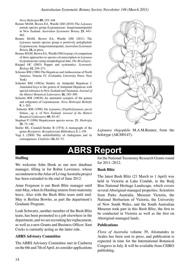*Nova Hedwigia* **89,** 335–348

- Renner MAM, Brown EA, Wardle GM (2010) The *Lejeunea tumida* species group (Lejeuneaceae: Jungermanniopsida) in New Zealand. *Australian Systematic Botany* **23**, 443– 462.
- Renner MAM, Brown EA, Wardle GM (2011) The *Lejeunea tumida* species group is positively polyphyletic (Lejeuneaceae: Jungermanniopsida). *Australian Systematic Botany* **24,** in press.
- Renner MAM, Brown EA, Wardle GM (in prep.) A comparison of three approaches to species circumscription in *Lejeunea*  (Lejeuneaceae) using morphological data. *The Bryologist.*
- Rieppel OC (2003) Popper and systematics. *Systematic Biology* **52**, 259–271.
- Schuster RM (1980) The Hepaticae and Anthocerotae of North America. Volume IV. (Columbia University Press: New York)
- Schuster RM (1963a) Studies on Antipodal Hepaticae I. Annotated keys to the genera of Antipodal Hepaticae with special reference to New Zealand and Tasmania. *Journal of the Hattori Botanical Laboratory* **26**, 185–309.
- Schuster RM (1963b) An annotated synopsis of the genera and subgenera of Lejeuneaceae. *Nova Hedwigia Beihefte* **9**, 1–203.
- Schuster RM (1998) On *Lejeunea* (*Papillolejeunea*) *pocsii*  Schust., sp. n. of New Zealand. *Journal of the Hattori Botanical Laboratory* **85**, 83–87.
- Stephani F (1896) Hepaticarum species novae. IX. *Hedwigia* **35**, 73–140.
- Stotler RE, Crandall-Stotler B (1974) A monograph of the genus *Bryopteris*. *Bryophytorum Bibliotheca* **3**, 1-159.
- Vogt L (2008) The unfalsifiability of cladograms and its consequences. *Cladistics* **24**, 62–73.



*Lejeunea rhigophila* M.A.M.Renner, from the holotype (AK300147).

# **ABRS Report**

#### **Staffing**

We welcome John Hook as our new database manager, filling in for Robin Lawrence, whose secondment to the Atlas of Living Australia project has been extended to the end of June 2012.

Anne Ferguson is our Bush Blitz manager until mid-May, when Jo Harding returns from maternity leave. Also with the Bush Blitz team until mid-May is Berlina Bowler, as part the department's Graduate Program.

Leah Schwartz, another member of the Bush Blitz team, has been promoted to a job elsewhere in the department, and we are recruiting her replacement, as well as a new Grants and Business Officer. Sam Cocks is currently acting as the latter role.

#### **ABRS Advisory Committee**

The ABRS Advisory Committee met in Canberra on the 6th and 7th of April, to consider applications for the National Taxonomy Research Grants round for 2011–2012.

#### **Bush Blitz**

The latest Bush Blitz (21 March to 1 April) was held in Victoria at Lake Condah, in the Budj Bim National Heritage Landscape, which covers several Aboriginal-managed properties. Scientists from Parks Australia, Museum Victoria, the National Herbarium of Victoria, the University of New South Wales, and the South Australian Museum took part in this Bush Blitz, the first to be conducted in Victoria as well as the first on Aboriginal-managed lands.

#### **Publications**

*Flora of Australia* volume 39, Alismatales to Arales has been sent to press, and publication is expected in time for the International Botanical Congress in July. It will be available from CSIRO publishing.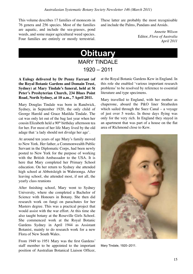This volume describes 17 families of monocots in 76 genera and 256 species. Most of the families are aquatic, and include the sea-grasses, pond weeds, and some major agricultural weed species. Four families are entirely or mostly terrestrial. These latter are probably the most recognisable and include the Palms, Pandans and Aroids.

> *Annette Wilson* Editor, *Flora of Australia April 2011*

# **Obituary MARY TINDAL F**

1920 – 2011

### **A Eulogy delivered by Dr Penny Farrant (of the Royal Botanic Gardens and Domain Trust, Sydney) at Mary Tindale's funeral, held at St Peter's Presbyterian Church, 234 Blues Point Road, North Sydney, at 10 a.m., 7 April 2011.**

Mary Douglas Tindale was born in Randwick, Sydney, in September 1920, the only child of George Harold and Grace Matilda Tindale. The cat was only let out of the bag last year when her cousin Elizabeth held a 90<sup>th</sup> birthday afternoon tea for her. For most of her life Mary lived by the old adage that 'a lady should not divulge her age'.

At around ten years of age Mary's family moved to New York. Her father, a Commonwealth Public Servant in the Diplomatic Corps, had been newly posted to New York for the purpose of working with the British Ambassador to the USA. It is here that Mary completed her Primary School education. On her return to Sydney she attended high school at Abbotsleigh in Wahroonga. After leaving school, she attended most, if not all, the yearly class reunions

After finishing school, Mary went to Sydney University, where she completed a Bachelor of Science with Honours in Botany. She then did research work on fungi on parachutes for her Masters degree. This was a practical project that would assist with the war effort. At this time she also taught botany at the Roseville Girls School. She commenced work at the Royal Botanic Gardens Sydney in April 1944 as Assistant Botanist, mainly to do research work for a new Flora of New South Wales.

From 1949 to 1951 Mary was the first Gardens' staff member to be appointed to the important position of Australian Botanical Liaison Officer, at the Royal Botanic Gardens Kew in England. In this role she enabled 'various important research problems' to be resolved by reference to essential literature and type specimens.

Mary travelled to England, with her mother as chaperone, aboard the P&O liner Stratheden which sailed through the Suez Canal – a voyage of just over 5 weeks. In those days flying was only for the very rich. In England they stayed in an apartment that was part of a house on the flat area of Richmond close to Kew.



Mary Tindale, 1920–2011.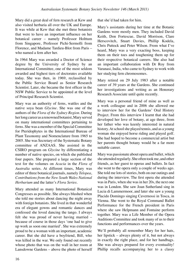Mary did a great deal of fern research at Kew and also visited herbaria all over the UK and Europe. It was while at Kew that she met three botanists that were to have an important influence on her botanical career – namely Professor Holttum from Singapore, Professor Pichi-Sermolli from Florence, and Madame Tardieu-Blot from Paris – who named a fern after her.

In 1964 Mary was awarded a Doctor of Science degree by the University of Sydney by an International Committee, one of the most seldom awarded and highest tiers of doctorates available today. She was then, in 1969, reclassified by the Public Service Board as Senior Research Scientist. Later, she became the first officer in the NSW Public Service to be appointed at the level of Principal Research Scientist.

Mary was an authority of ferns, wattles and the native soya bean *Glycine*. She was one of the authors of the *Flora of the Sydney Region*. During her long career as a renowned botanist, Mary served on many international committees pertaining to ferns. She was a member of the Special Committee for Pteridophytes in the International Bureau of Plant Taxonomy and Nomenclature from 1965 to 2005. She was Secretary of the Systematic Botany committee of ANZAAS. She assisted in the CSIRO program on *Glycine* by differentiating a number of native species, on which she published four papers. She prepared a large section of the text for the volumes on *Acacia* in the *Flora of Australia* series. At different times, Mary was editor of three botanical journals, namely *Telopea*, *Contributions from the New South Wales National Herbarium* and the latter's *Flora Series*.

Mary attended as many International Botanical Congresses as possible. She always blushed when she told me stories about dancing the night away with foreign botanists. She lived in that wonderful era of elegant gowns and romantic dances and confessed she loved dancing the tango. I always felt she was proud of never having married – because of course in those days 'one had to give up work as soon one married'. She was extremely proud to be a woman with an important, academic career. But she did have a boyfriend, Bill, who was killed in the war. We only found out recently whose photo that was on the wall in her room at Lansdowne Gardens – above the photo of herself that she'd had taken for him.

Mary's assistants during her time at the Botanic Gardens were mostly men. They included David Keith, Don Fortescue, David Morrison, Clare Herscovitch, Stuart Davies, Phillip Kodela, Chris Puttock and Peter Wilson. From what I've heard, Mary was a very exacting boss, keeping them on their toes and toughening them up for their respective botanical careers. She also had an important collaboration with Dr Roy from Varanasi, India, who came to Sydney to work with her studying fern chromosomes.

Mary retired on 29 July 1983 after a notable career of 39 years at the Gardens. She continued her investigations and writing as an Honorary Research Associate until quite recently.

Mary was a personal friend of mine as well as a work colleague and in 2006 she allowed me to interview her for the Gardens' Oral History Project. From this interview I learnt that she had developed her love of botany, at age three, from her father who was keenly interested in natural history. At school she played tennis, and as a young woman she enjoyed horse riding and played golf. She had hoped to become a commercial artist but her parents thought botany would be a far more suitable career.

Mary was passionate about opera and ballet, which she attended regularly. She often took me, and other friends, as her guest to operas and ballets. In fact she went to the opera only a couple of weeks ago. She told me lots of stories, both on our outings and during the interview. The first opera she attended was in Paris, when she was in her 20s, the next one was in London. She saw Joan Sutherland sing in Lucia di Lammermoor, and later she saw a young Placido Domingo singing Cavernossi in Tosca, in Vienna. She went to the Royal Command Ballet Performance for the French president in Paris where she saw Helpmann and Fontaine perform together. Mary was a Life Member of the Opera Auditions Committee and took many of us to their functions and performances over the years.

We'll probably all remember Mary for her hats, her lipstick – always plenty of it, but not always in exactly the right place, and for her handbags. She was always prepared for every eventuality! Phillip recalls accompanying her to a classy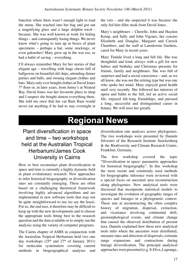function where there wasn't enough light to read the menu. She reached into her bag and got out a magnifying glass and a large dolphin torch because. She was well known at work for hiding things – and consequently losing things. We never know what's going to turn up in boxes of plant specimens – perhaps a hat, some stockings, or even galoushes! Mary grew up in the war era, so had a habit of saving – everything.

I'll always remember Mary for her stories of that elegant age – travelling with huge chests full of ballgowns on beautiful old ships, attending dinner parties and balls, and owning elegant clothes and hats. Mary only ever bought clothes at David Jones  $7<sup>th</sup>$  floor or, in later years, from Jenny's at Neutral Bay. David Jones was her favourite place to shop and I suspect she bought almost everything there. She told me once that her cat Bam Bam would never eat anything if he had to stay overnight at the vets – and she suspected it was because she only fed him fillet steak from David Jones.

Mary's neighbours – Cherelle, John and Haydon Kemp, and Sally and John Vigours, her cousins Elizabeth and Douglas, Margaret and Carrick Chambers, and the staff at Lansdowne Gardens, cared for Mary in recent years.

Mary Tindale lived a long and full life. She was thoughtful and kind, always with a gift for new babies and birthday and Christmas presents for friends, family and neighbours. She was full of surprises and had a social conscience – and, as we all know, she was not the retiring type but was one who spoke her mind. Mary enjoyed good health until very recently. She followed her interests of opera and ballet to the full, led an active social life, enjoyed life-long friendships, and pursued a long, successful and distinguished career in botany. We will miss her greatly.

# **Regional News**

# Plant diversification in space and time – two workshops held at the Australian Tropical Herbarium/James Cook University in Cairns

How to best reconstruct plant diversification in space and time is currently a highly dynamic field in plant evolutionary research. New approaches to infer historical biogeography or diversification rates are constantly emerging. These are often based on a challenging theoretical framework involving highly advanced algorithms and are implemented in new software tools that may not be quite straightforward to use (to say the least). For us, the end user, it therefore may be difficult to keep up with the new developments and to choose the appropriate tools fitting best to the research question and the data available or to simply run the analyses using the variety of computer programs.

The Cairns chapter of ASBS in conjunction with the Australian Tropical Herbarium held two one day workshops  $(25<sup>th</sup>$  and  $27<sup>th</sup>$  of January 2011) for molecular systematists covering current methods in biogeographical analyses and diversification rate analyses across phylogenies. The two workshops were presented by Daniele Silvestro of the Research Institute Senckenberg & the Biodiversity and Climate Research Centre, Frankfurt, Germany.

The first workshop covered the topic "Diversification in space: parametric approaches for historical biogeography". In this workshop the most recent and commonly used methods for biogeographic inference were reviewed with a special focus on ancestral area reconstruction along phylogenies. New analytical tools were discussed that incorporate statistical models to investigate the evolution of geographic ranges of species and lineages in a phylogenetic context. These aim at reconstructing the often complex history of migration, dispersal, extinction, and vicariance involving continental drift, geomorphological events, and climate change that caused the observed distribution of present taxa. Daniele explained how these new analytical tools infer where the ancestors were distributed, measure rates and direction of dispersals, estimate range expansions and contractions during lineage diversification. The principal analytical approaches were presented (e.g. S-Diva, Lagrange,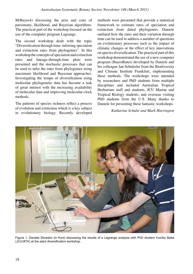MrBayes4) discussing the pros and cons of parsimony, likelihood, and Bayesian algorithms. The practical part of the workshop focused on the use of the computer program Lagrange.

The second workshop dealt with the topic "Diversification through time: inferring speciation and extinction rates from phylogenies". In this workshop the concepts of speciation and extinction rates and lineage-through-time plots were presented and the stochastic processes that can be used to infer the rates from phylogenies using maximum likelihood and Bayesian approaches. Investigating the tempo of diversification using molecular phylogenetic data has become a task of great interest with the increasing availability of molecular data and improving molecular clock methods.

The patterns of species richness reflect a process of evolution and extinction which is a key subject in evolutionary biology. Recently developed

methods were presented that provide a statistical framework to estimate rates of speciation and extinction from dated phylogenies. Daniele outlined how the rates and their variation through time can be used to address a number of questions on evolutionary processes such as the impact of climatic changes or the effect of key innovations on species diversification. The practical part of this workshop demonstrated the use of a new computer program (BayesRates) developed by Daniele and his colleague Jan Schnitzler from the Biodiversity and Climate Institute Frankfurt, implementing these methods. The workshops were attended by researchers and PhD students from multiple disciplines and included Australian Tropical Herbarium staff and students, JCU Marine and Tropical Biology students, and overseas visiting PhD students from the U.S. Many thanks to Daniele for presenting these fantastic workshops.

### *Katharina Schulte and Mark Harrington*



Figure 1. Daniele Silvestro (in front) discussing the results of a Lagrange analysis with PhD student Yumiko Baba (JCU/ATH) at the plant diversification workshop.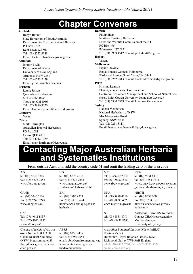# **Chapter Conveners**

#### **Adelaide**

Robyn Barker State Herbarium of South Australia Department for Environment and Heritage PO Box 2732 Kent Town, SA 5071 Tel: (08) 8222 9348 Email: barker.robyn@saugov.sa.gov.au

#### **Armidale**

Jeremy Bruhl Department of Botany University of New England Armidale, NSW 2351 Tel: (02) 6773 2429 Email: jbruhl@metz.une.edu.au

#### **Brisbane**

Laurie Jessup Queensland Herbarium Mt Coot-tha Road Toowong, Qld 4066

Tel: (07) 3896 9320 Email: laurence.jessup@derm.qld.gov.au

#### **Canberra**

Vacant

#### **Cairns**

Mark Harrington Australian Tropical Herbarium PO Box 6811 Cairns QLD 4870 Tel: (07) 4042 1769 Email: mark.harrington@jcu.edu.au

#### **Darwin**

Philip Short Northern Territory Herbarium Parks and Wildlife Commission of the NT PO Box 496 Palmerston, NT 0831 Tel: (08) 8999 4512 / Email: phil.short@nt.gov.au **Hobart** Vacant **Melbourne** Frank Udovicic Royal Botanic Gardens Melbourne Birdwood Avenue, South Yarra, Vic. 3141 Tel: (03) 9252 2313 / Email: frank.udovicic@rbg.vic.gov.au **Perth** Kristina Lemson Plant Systematics and Conservation Centre for Ecosystem Management and School of Natural Sciences, Edith Cowan University, Joondalup WA 6027 Tel: (08) 6304 5369 / Email. k.lemson@ecu.edu.au **Sydney** Hannah McPherson National Herbarium of NSW Mrs Macquaries Road Sydney, NSW 2000 Tel: (02) 9231 8111 Email: hannah.mcpherson@rbgsyd.nsw.gov.au

# **Contacting Major Australian Herbaria and Systematics Institutions**

From outside Australia: add the country code 61 and omit the leading zero of the area code

| AD<br>tel: (08) 8222 9307<br>fax: (08) 8222 9353<br>www.flora.sa.gov.au                                                                                   | HO<br>tel: (03) 6226 2635<br>fax: (03) 6226 7865<br>www.tmag.tas.gov.au/<br>Herbarium/Herbarium2.htm                                         | <b>MEL</b><br>tel: (03) 9252 2300<br>fax: (03) 9252 2350<br>www.rbg.vic.gov.au/                                                                                                                                         | <b>NSW</b><br>tel: (02) 9231 8111<br>fax: (02) 9251 7231<br>www.rbgsyd.gov.au/conservation<br>_research/herbarium_&_services |
|-----------------------------------------------------------------------------------------------------------------------------------------------------------|----------------------------------------------------------------------------------------------------------------------------------------------|-------------------------------------------------------------------------------------------------------------------------------------------------------------------------------------------------------------------------|------------------------------------------------------------------------------------------------------------------------------|
| <b>CANB</b><br>tel: (02) 6246 5108<br>fax: (02) 6246 5249<br>www.anbg.gov.au/                                                                             | BRI<br>tel: (07) 3896 9321<br>fax: (07) 3896 9624<br>http://www.derm.qld.gov.au/<br>herbarium                                                | <b>DNA</b><br>tel: (08) 8999 4516<br>fax: (08) 8999 4527<br>www.nt.gov.au/pwcnt                                                                                                                                         | <b>PERTH</b><br>tel: (08) 9334 0500<br>fax: (08) 9334 0515<br>http://science.dec.wa.gov.au/<br>herbarium/                    |
| <b>CNS</b><br>Tel: (07) 4042 1837<br>Fax: (07) 4042 1842<br>www.ath.org.au/                                                                               |                                                                                                                                              | <b>NT</b><br>tel: (08) 8951 8791<br>fax: (08) 8951 8790                                                                                                                                                                 | Australian University Herbaria<br>Contact CHAH representative:<br>Murray Henwood,<br>University of Sydney                    |
| Council of Heads of Austral-<br>asian Herbaria (CHAH)<br>Chair: Dr Brett Summerell<br>(NSW) brett.summerell@<br>rbgsyd.nsw.gov.au or www.<br>chah.gov.au/ | <b>ABRS</b><br>tel: (02) 6250 9417<br>fax: (02) 6250 9555<br>email: abrs@environment.gov.au<br>www.environment.gov.au/<br>biodiversity/abrs/ | Australian Botanical Liaison Officer (ABLO)<br><b>Position Vacant</b><br>Herbarium, Royal Botanic Gardens, Kew<br>Richmond, Surrey TW9 3AB England<br>tel: 44-20-8332 5270; fax: 44-20-8332 5278<br>email: ablo@kew.org |                                                                                                                              |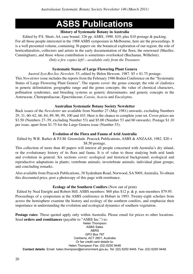# **ASBS Publications**

# **History of Systematic Botany in Australia**

Edited by P.S. Short. A4, case bound, 326 pp. ASBS, 1990. \$10; plus \$10 postage & packing. For all those people interested in the 1988 ASBS symposium in Melbourne, here are the proceedings. It is a well presented volume, containing 36 papers on: the botanical exploration of our region; the role of horticulturalists, collectors and artists in the early documentation of the flora; the renowned (Mueller, Cunningham), and those whose contribution is sometimes overlooked (Buchanan, Wilhelmi). *Only a few copies left!––available only from the Treasurer.*

# **Systematic Status of Large Flowering Plant Genera**

*Austral.Syst.Bot.Soc.Newslett.* 53, edited by Helen Hewson. 1987. \$5 + \$1.75 postage.

This *Newsletter* issue includes the reports from the February 1986 Boden Conference on the "Systematic Status of Large Flowering Plant Genera". The reports cover: the genus concept; the role of cladistics in generic delimitation; geographic range and the genus concepts; the value of chemical characters, pollination syndromes, and breeding systems as generic determinants; and generic concepts in the Asteraceae, Chenopodiaceae, Epacridaceae, *Cassia, Acacia* and *Eucalyptus*.

# **Australian Systematic Botany Society Newsletter**

Back issues of the *Newsletter* are available from Number 27 (May 1981) onwards, excluding Numbers 29, 31, 60–62, 66, 84, 89, 90, 99, 100 and 103. Here is the chance to complete your set. Cover prices are \$3.50 (Numbers 27–59, excluding Number 53) and \$5.00 (Number 53 and 60 onwards). Postage \$1.10 per issue, apart from \$1.75 for the Large Genera issue (Number 53).

# **Evolution of the Flora and Fauna of Arid Australia**

Edited by W.R. Barker & P.J.M. Greenslade. Peacock Publications, ASBS & ANZAAS, 1982. \$20 + \$8.50 postage.

This collection of more than 40 papers will interest all people concerned with Australia's dry inland, or the evolutionary history of its flora and fauna. It is of value to those studying both arid lands and evolution in general. Six sections cover: ecological and historical background; ecological and reproductive adaptations in plants; vertebrate animals; invertebrate animals; individual plant groups; and concluding remarks.

Also available from Peacock Publications, 38 Sydenham Road, Norwood, SA 5069, Australia. To obtain this discounted price, post a photocopy of this page with remittance.

### **Ecology of the Southern Conifers** (Now out of print)

Edited by Neal Enright and Robert Hill. ASBS members: \$60 plus \$12 p. & p. non-members \$79.95. Proceedings of a symposium at the ASBS conference in Hobart in 1993. Twenty-eight scholars from across the hemisphere examine the history and ecology of the southern conifers, and emphasise their importance in understanding the evolution and ecological dynamics of southern vegetation.

**Postage rates**: Those quoted apply only within Australia. Please email for prices to other locations. Send **orders and remittances** (payable to "ASBS Inc.") to:

Helen Thompson ASBS Sales ABRS GPO Box 787 Canberra, ACT 2601, Australia Or fax credit card details to: Helen Thompson Fax: (02) 6250 9448 **Contact details**. Email: helen.thompson@environment.gov.au. Tel: (02) 6250 9445. Fax: (02) 6250 9448.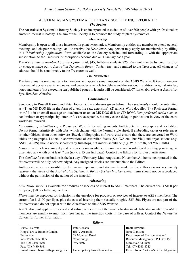#### AUSTRALASIAN SYSTEMATIC BOTANY SOCIETY INCORPORATED

#### *The Society*

The Australasian Systematic Botany Society is an incorporated association of over 300 people with professional or amateur interest in botany. The aim of the Society is to promote the study of plant systematics.

#### *Membership*

Membership is open to all those interested in plant systematics. Membership entitles the member to attend general meetings and chapter meetings, and to receive the *Newsletter*. Any person may apply for membership by filling in a "*Membership Application*" form, available on the Society website, and forwarding it, with the appropriate subscription, to the Treasurer. Subscriptions become due on 1 January each year.

The ASBS *annual membership subscription* is AU\$45; full-time students \$25. Payment may be by credit card or by cheques made out to *Australian Systematic Botany Society Inc*., and remitted to the Treasurer. All changes of address should be sent directly to the Treasurer as well.

#### *The* **Newsletter**

The *Newsletter* is sent quarterly to members and appears simultaneously on the ASBS Website. It keeps members informed of Society events and news, and provides a vehicle for debate and discussion. In addition, original articles, notes and letters (not exceeding ten published pages in length) will be considered. *Citation*: abbreviate as *Australas. Syst. Bot. Soc. Newslett.*

#### *Contributions*

Send copy to Russell Barrett and Peter Jobson at the addresses given below. They *preferably* should be submitted as: (1) an MS-DOS file in the form of a text file (.txt extension), (2) an MS-Word.doc file, (3) a Rich-text-format or .rtf file in an email message or attachment or on an MS-DOS disk or CD-ROM. *Non-preferred media* such as handwritten or typescripts by letter or fax are acceptable, but may cause delay in publication in view of the extra workload involved.

*Formatting of submitted copy*. Please use Word in formatting indents, bullets, etc. in paragraphs and for tables. Do not format primitively with tabs, which change with the Normal style sheet. If embedding tables or references or other Objects from other software (Excel, bibliographic software, etc.) ensure that these are converted to Word tables or paragraphs. Letters in abbreviations of Australian States (SA, WA etc., but Vic.) and organisations (e.g. ASBS, ABRS) should not be separated by full-stops, but initials should be (e.g. W.R. Smith, not WR Smith).

*Images*: their inclusion may depend on space being available. Improve scanned resolution if printing your image is pixellated at a width of at least 7 cm (up to a 15 cm full page). Contact the Editors for further clarification.

The *deadline* for contributions is the last day of February, May, August and November. All items incorporated in the *Newsletter* will be duly acknowledged. Any unsigned articles are attributable to the Editors.

Authors alone are responsible for the views expressed, and statements made by the authors do not necessarily represent the views of the *Australasian Systematic Botany Society Inc*. *Newsletter* items should not be reproduced without the permission of the author of the material.

#### *Advertising*

*Advertising space* is available for products or services of interest to ASBS members. The current fee is \$100 per full page, \$50 per half-page or less.

*Flyers* may be approved for inclusion in the envelope for products or services of interest to ASBS members. The current fee is \$100 per flyer, plus the cost of inserting them (usually roughly \$25–30). Flyers are not part of the *Newsletter* and do not appear with the *Newsletter* on the ASBS Website.

A 20% discount applies for second and subsequent entries of the same advertisement. Advertisements from ASBS members are usually exempt from fees but not the insertion costs in the case of a flyer. Contact the *Newsletter* Editors for further information.

| <b>Editors</b>                        |                                |                                      |  |  |
|---------------------------------------|--------------------------------|--------------------------------------|--|--|
| <b>Russell Barrett</b>                | Peter Jobson                   | <b>Book Reviews:</b>                 |  |  |
| Kings Park & Botanic Garden           | (ENV Australia)                | John Clarkson                        |  |  |
| <b>Fraser Ave</b>                     | 29 Montreal Road               | Department of Environment and        |  |  |
| West Perth, WA 6005                   | Woodbridge                     | Resource Management, PO Box 156      |  |  |
| $\vert$ Tel: (08) 9480 3640           | WA 6056                        | Mareeba, Old 4880                    |  |  |
| Fax: (08) 9480 3641                   |                                | Tel: (07) 4048 4745                  |  |  |
| Email: russell.barrett@bgpa.wa.gov.au | Email: peter.jobson@env.net.au | Email: John.Clarkson@derm.qld.gov.au |  |  |